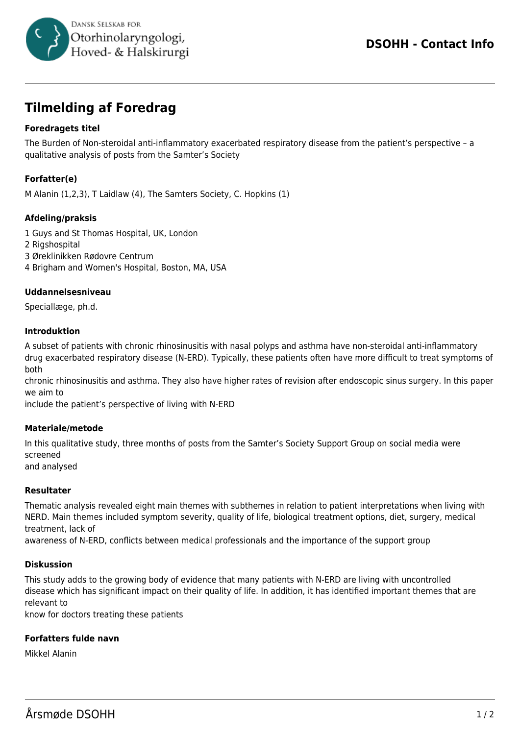

# **Tilmelding af Foredrag**

# **Foredragets titel**

The Burden of Non-steroidal anti-inflammatory exacerbated respiratory disease from the patient's perspective – a qualitative analysis of posts from the Samter's Society

# **Forfatter(e)**

M Alanin (1,2,3), T Laidlaw (4), The Samters Society, C. Hopkins (1)

## **Afdeling/praksis**

1 Guys and St Thomas Hospital, UK, London 2 Rigshospital 3 Øreklinikken Rødovre Centrum 4 Brigham and Women's Hospital, Boston, MA, USA

### **Uddannelsesniveau**

Speciallæge, ph.d.

### **Introduktion**

A subset of patients with chronic rhinosinusitis with nasal polyps and asthma have non-steroidal anti-inflammatory drug exacerbated respiratory disease (N-ERD). Typically, these patients often have more difficult to treat symptoms of both

chronic rhinosinusitis and asthma. They also have higher rates of revision after endoscopic sinus surgery. In this paper we aim to

include the patient's perspective of living with N-ERD

#### **Materiale/metode**

In this qualitative study, three months of posts from the Samter's Society Support Group on social media were screened and analysed

#### **Resultater**

Thematic analysis revealed eight main themes with subthemes in relation to patient interpretations when living with NERD. Main themes included symptom severity, quality of life, biological treatment options, diet, surgery, medical treatment, lack of

awareness of N-ERD, conflicts between medical professionals and the importance of the support group

#### **Diskussion**

This study adds to the growing body of evidence that many patients with N-ERD are living with uncontrolled disease which has significant impact on their quality of life. In addition, it has identified important themes that are relevant to

know for doctors treating these patients

## **Forfatters fulde navn**

Mikkel Alanin